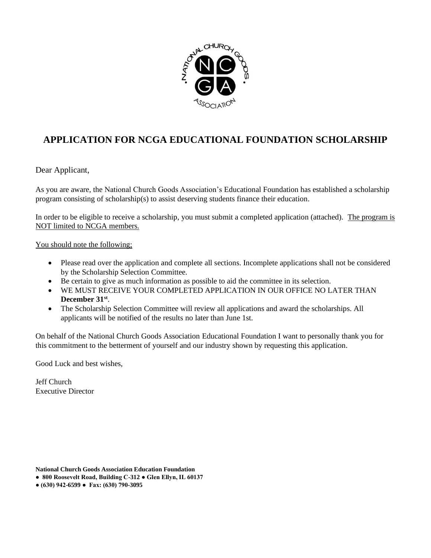

# **APPLICATION FOR NCGA EDUCATIONAL FOUNDATION SCHOLARSHIP**

Dear Applicant,

As you are aware, the National Church Goods Association's Educational Foundation has established a scholarship program consisting of scholarship(s) to assist deserving students finance their education.

In order to be eligible to receive a scholarship, you must submit a completed application (attached). The program is NOT limited to NCGA members.

You should note the following;

- Please read over the application and complete all sections. Incomplete applications shall not be considered by the Scholarship Selection Committee.
- Be certain to give as much information as possible to aid the committee in its selection.
- WE MUST RECEIVE YOUR COMPLETED APPLICATION IN OUR OFFICE NO LATER THAN **December 31st** .
- The Scholarship Selection Committee will review all applications and award the scholarships. All applicants will be notified of the results no later than June 1st.

On behalf of the National Church Goods Association Educational Foundation I want to personally thank you for this commitment to the betterment of yourself and our industry shown by requesting this application.

Good Luck and best wishes,

Jeff Church Executive Director

**National Church Goods Association Education Foundation**

- **800 Roosevelt Road, Building C-312 Glen Ellyn, IL 60137**
- **(630) 942-6599 Fax: (630) 790-3095**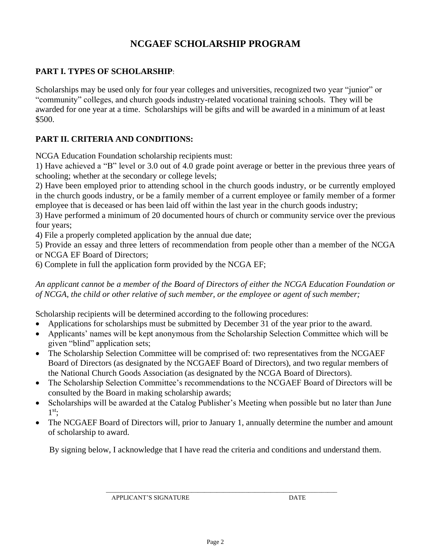## **NCGAEF SCHOLARSHIP PROGRAM**

#### **PART I. TYPES OF SCHOLARSHIP**:

Scholarships may be used only for four year colleges and universities, recognized two year "junior" or "community" colleges, and church goods industry-related vocational training schools. They will be awarded for one year at a time. Scholarships will be gifts and will be awarded in a minimum of at least \$500.

#### **PART II. CRITERIA AND CONDITIONS:**

NCGA Education Foundation scholarship recipients must:

1) Have achieved a "B" level or 3.0 out of 4.0 grade point average or better in the previous three years of schooling; whether at the secondary or college levels;

2) Have been employed prior to attending school in the church goods industry, or be currently employed in the church goods industry, or be a family member of a current employee or family member of a former employee that is deceased or has been laid off within the last year in the church goods industry;

3) Have performed a minimum of 20 documented hours of church or community service over the previous four years;

4) File a properly completed application by the annual due date;

5) Provide an essay and three letters of recommendation from people other than a member of the NCGA or NCGA EF Board of Directors;

6) Complete in full the application form provided by the NCGA EF;

*An applicant cannot be a member of the Board of Directors of either the NCGA Education Foundation or of NCGA, the child or other relative of such member, or the employee or agent of such member;*

Scholarship recipients will be determined according to the following procedures:

- Applications for scholarships must be submitted by December 31 of the year prior to the award.
- Applicants' names will be kept anonymous from the Scholarship Selection Committee which will be given "blind" application sets;
- The Scholarship Selection Committee will be comprised of: two representatives from the NCGAEF Board of Directors (as designated by the NCGAEF Board of Directors), and two regular members of the National Church Goods Association (as designated by the NCGA Board of Directors).
- The Scholarship Selection Committee's recommendations to the NCGAEF Board of Directors will be consulted by the Board in making scholarship awards;
- Scholarships will be awarded at the Catalog Publisher's Meeting when possible but no later than June 1 st;
- The NCGAEF Board of Directors will, prior to January 1, annually determine the number and amount of scholarship to award.

By signing below, I acknowledge that I have read the criteria and conditions and understand them.

\_\_\_\_\_\_\_\_\_\_\_\_\_\_\_\_\_\_\_\_\_\_\_\_\_\_\_\_\_\_\_\_\_\_\_\_\_\_\_\_\_\_\_\_\_\_\_\_\_\_\_\_\_\_\_\_\_\_\_\_\_\_\_\_\_\_\_\_\_\_\_\_\_

APPLICANT'S SIGNATURE DATE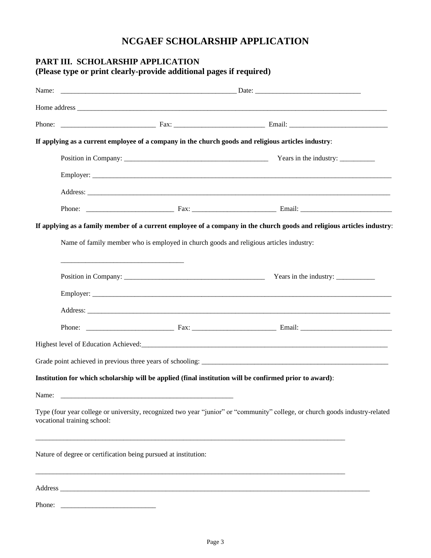### **NCGAEF SCHOLARSHIP APPLICATION**

### **PART III. SCHOLARSHIP APPLICATION (Please type or print clearly-provide additional pages if required)**

| Name: |                                                                                        |  |                                                                                                                              |  |
|-------|----------------------------------------------------------------------------------------|--|------------------------------------------------------------------------------------------------------------------------------|--|
|       |                                                                                        |  |                                                                                                                              |  |
|       |                                                                                        |  |                                                                                                                              |  |
|       |                                                                                        |  | If applying as a current employee of a company in the church goods and religious articles industry:                          |  |
|       |                                                                                        |  |                                                                                                                              |  |
|       |                                                                                        |  |                                                                                                                              |  |
|       |                                                                                        |  |                                                                                                                              |  |
|       |                                                                                        |  |                                                                                                                              |  |
|       |                                                                                        |  | If applying as a family member of a current employee of a company in the church goods and religious articles industry:       |  |
|       | Name of family member who is employed in church goods and religious articles industry: |  |                                                                                                                              |  |
|       |                                                                                        |  |                                                                                                                              |  |
|       |                                                                                        |  |                                                                                                                              |  |
|       |                                                                                        |  |                                                                                                                              |  |
|       |                                                                                        |  |                                                                                                                              |  |
|       |                                                                                        |  |                                                                                                                              |  |
|       |                                                                                        |  |                                                                                                                              |  |
|       |                                                                                        |  | Institution for which scholarship will be applied (final institution will be confirmed prior to award):                      |  |
| Name: |                                                                                        |  |                                                                                                                              |  |
|       | vocational training school:                                                            |  | Type (four year college or university, recognized two year "junior" or "community" college, or church goods industry-related |  |
|       | Nature of degree or certification being pursued at institution:                        |  |                                                                                                                              |  |
|       |                                                                                        |  |                                                                                                                              |  |

Phone: \_\_\_\_\_\_\_\_\_\_\_\_\_\_\_\_\_\_\_\_\_\_\_\_\_\_\_